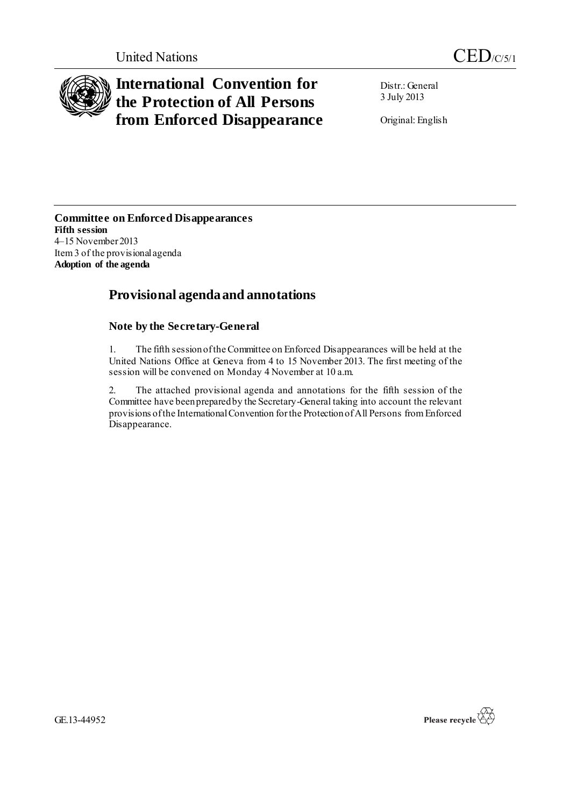

# **International Convention for the Protection of All Persons from Enforced Disappearance**

Distr.: General 3 July 2013

Original: English

**Committee on Enforced Disappearances Fifth session** 4–15 November 2013 Item 3 of the provisional agenda **Adoption of the agenda**

## **Provisional agenda and annotations**

### **Note by the Secretary-General**

1. The fifth session of the Committee on Enforced Disappearances will be held at the United Nations Office at Geneva from 4 to 15 November 2013. The first meeting of the session will be convened on Monday 4 November at 10 a.m.

2. The attached provisional agenda and annotations for the fifth session of the Committee have been prepared by the Secretary-General taking into account the relevant provisions of the International Convention for the Protection of All Persons from Enforced Disappearance.

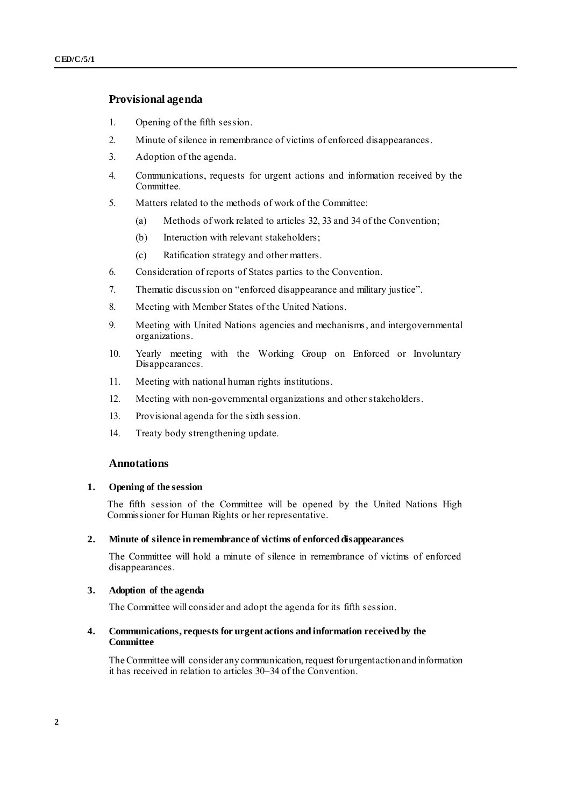#### **Provisional agenda**

- 1. Opening of the fifth session.
- 2. Minute of silence in remembrance of victims of enforced disappearances.
- 3. Adoption of the agenda.
- 4. Communications, requests for urgent actions and information received by the Committee.
- 5. Matters related to the methods of work of the Committee:
	- (a) Methods of work related to articles 32, 33 and 34 of the Convention;
	- (b) Interaction with relevant stakeholders;
	- (c) Ratification strategy and other matters.
- 6. Consideration of reports of States parties to the Convention.
- 7. Thematic discussion on "enforced disappearance and military justice".
- 8. Meeting with Member States of the United Nations.
- 9. Meeting with United Nations agencies and mechanisms, and intergovernmental organizations.
- 10. Yearly meeting with the Working Group on Enforced or Involuntary Disappearances.
- 11. Meeting with national human rights institutions.
- 12. Meeting with non-governmental organizations and other stakeholders.
- 13. Provisional agenda for the sixth session.
- 14. Treaty body strengthening update.

#### **Annotations**

#### **1. Opening of the session**

The fifth session of the Committee will be opened by the United Nations High Commissioner for Human Rights or her representative.

#### **2. Minute of silence in remembrance of victims of enforced disappearances**

The Committee will hold a minute of silence in remembrance of victims of enforced disappearances.

#### **3. Adoption of the agenda**

The Committee will consider and adopt the agenda for its fifth session.

#### **4. Communications, requests for urgent actions and information received by the Committee**

The Committee will consider any communication, request for urgent action and information it has received in relation to articles 30–34 of the Convention.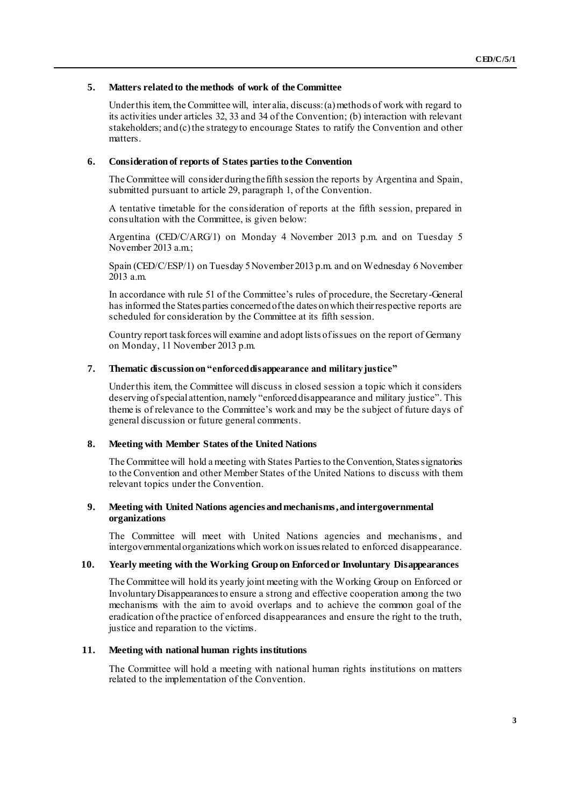#### **5. Matters related to the methods of work of the Committee**

Under this item, the Committee will, inter alia, discuss: (a) methods of work with regard to its activities under articles 32, 33 and 34 of the Convention; (b) interaction with relevant stakeholders; and(c) the strategy to encourage States to ratify the Convention and other matters.

#### **6. Consideration of reports of States parties to the Convention**

The Committee will consider during the fifth session the reports by Argentina and Spain, submitted pursuant to article 29, paragraph 1, of the Convention.

A tentative timetable for the consideration of reports at the fifth session, prepared in consultation with the Committee, is given below:

Argentina (CED/C/ARG/1) on Monday 4 November 2013 p.m. and on Tuesday 5 November 2013 a.m.;

Spain (CED/C/ESP/1) on Tuesday 5 November 2013 p.m. and on Wednesday 6 November 2013 a.m.

In accordance with rule 51 of the Committee's rules of procedure, the Secretary-General has informed the States parties concerned of the dates on which their respective reports are scheduled for consideration by the Committee at its fifth session.

Country report task forces will examine and adopt lists of issues on the report of Germany on Monday, 11 November 2013 p.m.

#### **7. Thematic discussion on "enforced disappearance and military justice"**

Under this item, the Committee will discuss in closed session a topic which it considers deserving ofspecial attention, namely "enforced disappearance and military justice". This theme is of relevance to the Committee's work and may be the subject of future days of general discussion or future general comments.

#### **8. Meeting with Member States of the United Nations**

The Committee will hold a meeting with States Partiesto the Convention, States signatories to the Convention and other Member States of the United Nations to discuss with them relevant topics under the Convention.

#### **9. Meeting with United Nations agencies and mechanisms, and intergovernmental organizations**

The Committee will meet with United Nations agencies and mechanisms, and intergovernmental organizations which work on issues related to enforced disappearance.

#### **10. Yearly meeting with the Working Group on Enforced or Involuntary Disappearances**

The Committee will hold its yearly joint meeting with the Working Group on Enforced or Involuntary Disappearances to ensure a strong and effective cooperation among the two mechanisms with the aim to avoid overlaps and to achieve the common goal of the eradication of the practice of enforced disappearances and ensure the right to the truth, justice and reparation to the victims.

#### **11. Meeting with national human rights institutions**

The Committee will hold a meeting with national human rights institutions on matters related to the implementation of the Convention.